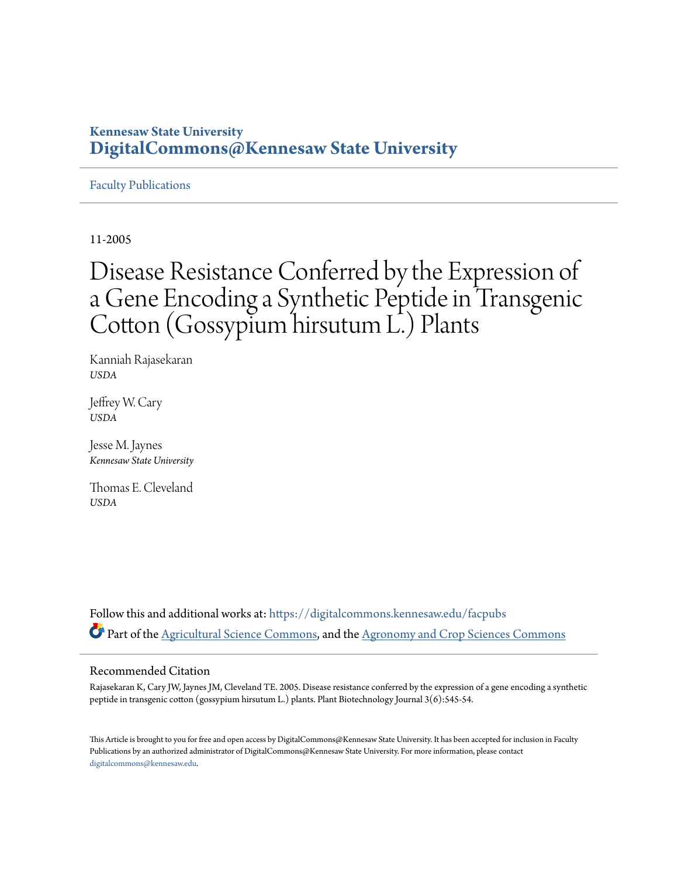## **Kennesaw State University [DigitalCommons@Kennesaw State University](https://digitalcommons.kennesaw.edu?utm_source=digitalcommons.kennesaw.edu%2Ffacpubs%2F1729&utm_medium=PDF&utm_campaign=PDFCoverPages)**

## [Faculty Publications](https://digitalcommons.kennesaw.edu/facpubs?utm_source=digitalcommons.kennesaw.edu%2Ffacpubs%2F1729&utm_medium=PDF&utm_campaign=PDFCoverPages)

11-2005

# Disease Resistance Conferred by the Expression of a Gene Encoding a Synthetic Peptide in Transgenic Cotton (Gossypium hirsutum L.) Plants

Kanniah Rajasekaran *USDA*

Jeffrey W. Cary *USDA*

Jesse M. Jaynes *Kennesaw State University*

Thomas E. Cleveland *USDA*

Follow this and additional works at: [https://digitalcommons.kennesaw.edu/facpubs](https://digitalcommons.kennesaw.edu/facpubs?utm_source=digitalcommons.kennesaw.edu%2Ffacpubs%2F1729&utm_medium=PDF&utm_campaign=PDFCoverPages) Part of the [Agricultural Science Commons](http://network.bepress.com/hgg/discipline/1063?utm_source=digitalcommons.kennesaw.edu%2Ffacpubs%2F1729&utm_medium=PDF&utm_campaign=PDFCoverPages), and the [Agronomy and Crop Sciences Commons](http://network.bepress.com/hgg/discipline/103?utm_source=digitalcommons.kennesaw.edu%2Ffacpubs%2F1729&utm_medium=PDF&utm_campaign=PDFCoverPages)

## Recommended Citation

Rajasekaran K, Cary JW, Jaynes JM, Cleveland TE. 2005. Disease resistance conferred by the expression of a gene encoding a synthetic peptide in transgenic cotton (gossypium hirsutum L.) plants. Plant Biotechnology Journal 3(6):545-54.

This Article is brought to you for free and open access by DigitalCommons@Kennesaw State University. It has been accepted for inclusion in Faculty Publications by an authorized administrator of DigitalCommons@Kennesaw State University. For more information, please contact [digitalcommons@kennesaw.edu.](mailto:digitalcommons@kennesaw.edu)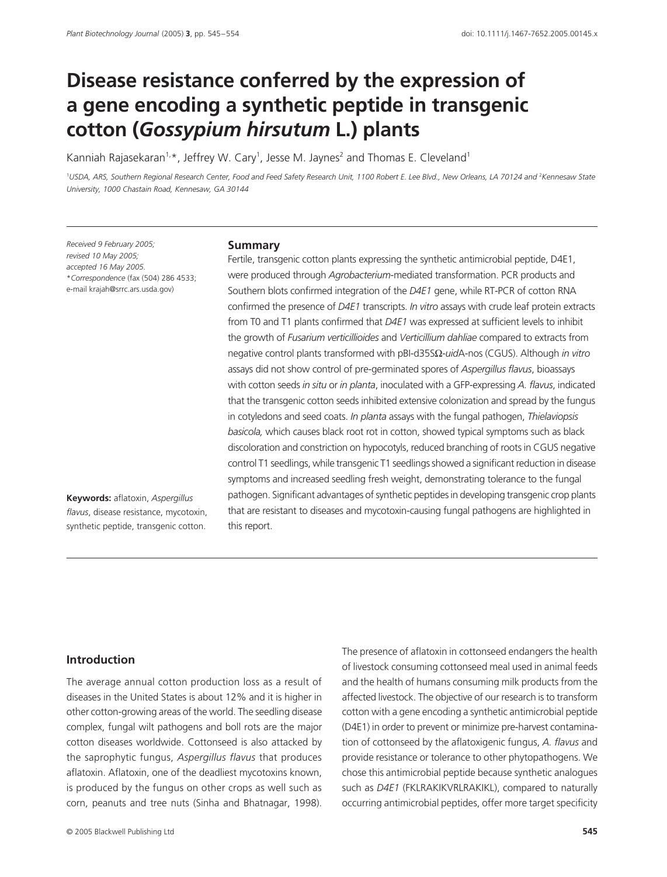## Disease resistance conferred by the expression of **a gene encoding a synthetic peptide in transgenic cotton (***Gossypium hirsutum* **L.) plants**

Kanniah Rajasekaran<sup>1,</sup>\*, Jeffrey W. Cary<sup>1</sup>, Jesse M. Jaynes<sup>2</sup> and Thomas E. Cleveland<sup>1</sup>

<sup>1</sup>USDA, ARS, Southern Regional Research Center, Food and Feed Safety Research Unit, 1100 Robert E. Lee Blvd., New Orleans, LA 70124 and<sup>2</sup>Kennesaw State *University, 1000 Chastain Road, Kennesaw, GA 30144* 

*Received 9 February 2005; revised 10 May 2005; accepted 16 May 2005.* \**Correspondence* (fax (504) 286 4533; e-mail krajah@srrc.ars.usda.gov)

#### **Keywords:** aflatoxin, *Aspergillus flavus*, disease resistance, mycotoxin, synthetic peptide, transgenic cotton.

#### **Summary**

Fertile, transgenic cotton plants expressing the synthetic antimicrobial peptide, D4E1, were produced through *Agrobacterium*-mediated transformation. PCR products and Southern blots confirmed integration of the *D4E1* gene, while RT-PCR of cotton RNA confirmed the presence of *D4E1* transcripts. *In vitro* assays with crude leaf protein extracts from T0 and T1 plants confirmed that *D4E1* was expressed at sufficient levels to inhibit the growth of *Fusarium verticillioides* and *Verticillium dahliae* compared to extracts from negative control plants transformed with pBI-d35SΩ-*uid*A-nos (CGUS). Although *in vitro* assays did not show control of pre-germinated spores of *Aspergillus flavus*, bioassays with cotton seeds *in situ* or *in planta*, inoculated with a GFP-expressing *A. flavus*, indicated that the transgenic cotton seeds inhibited extensive colonization and spread by the fungus in cotyledons and seed coats. *In planta* assays with the fungal pathogen, *Thielaviopsis basicola,* which causes black root rot in cotton, showed typical symptoms such as black discoloration and constriction on hypocotyls, reduced branching of roots in CGUS negative control T1 seedlings, while transgenic T1 seedlings showed a significant reduction in disease symptoms and increased seedling fresh weight, demonstrating tolerance to the fungal pathogen. Significant advantages of synthetic peptides in developing transgenic crop plants that are resistant to diseases and mycotoxin-causing fungal pathogens are highlighted in this report.

### **Introduction**

The average annual cotton production loss as a result of diseases in the United States is about 12% and it is higher in other cotton-growing areas of the world. The seedling disease complex, fungal wilt pathogens and boll rots are the major cotton diseases worldwide. Cottonseed is also attacked by the saprophytic fungus, *Aspergillus flavus* that produces aflatoxin. Aflatoxin, one of the deadliest mycotoxins known, is produced by the fungus on other crops as well such as corn, peanuts and tree nuts (Sinha and Bhatnagar, 1998).

The presence of aflatoxin in cottonseed endangers the health of livestock consuming cottonseed meal used in animal feeds and the health of humans consuming milk products from the affected livestock. The objective of our research is to transform cotton with a gene encoding a synthetic antimicrobial peptide (D4E1) in order to prevent or minimize pre-harvest contamination of cottonseed by the aflatoxigenic fungus, *A. flavus* and provide resistance or tolerance to other phytopathogens. We chose this antimicrobial peptide because synthetic analogues such as *D4E1* (FKLRAKIKVRLRAKIKL), compared to naturally occurring antimicrobial peptides, offer more target specificity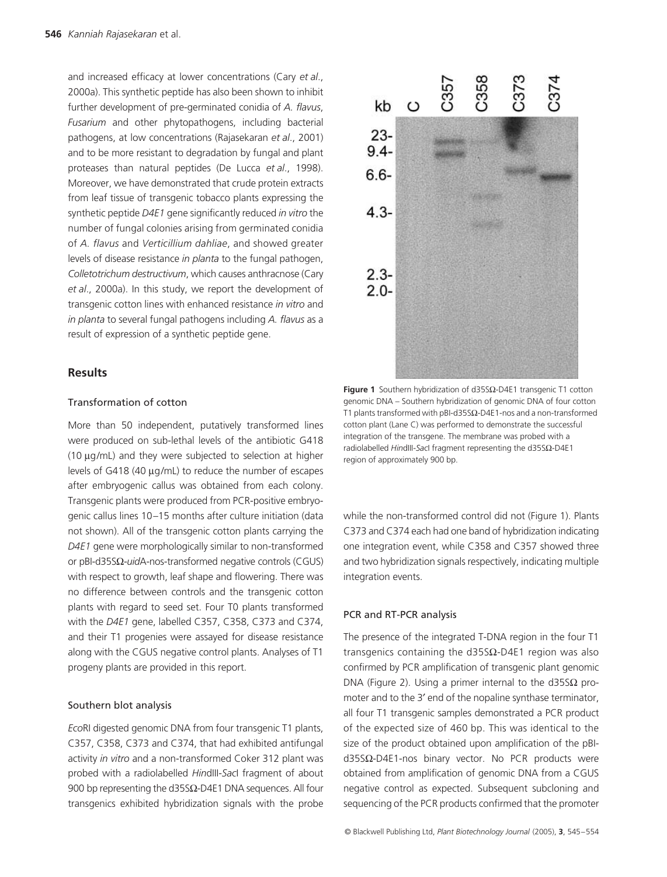and increased efficacy at lower concentrations (Cary *et al*., 2000a). This synthetic peptide has also been shown to inhibit further development of pre-germinated conidia of *A. flavus*, *Fusarium* and other phytopathogens, including bacterial pathogens, at low concentrations (Rajasekaran *et al*., 2001) and to be more resistant to degradation by fungal and plant proteases than natural peptides (De Lucca *et al*., 1998). Moreover, we have demonstrated that crude protein extracts from leaf tissue of transgenic tobacco plants expressing the synthetic peptide *D4E1* gene significantly reduced *in vitro* the number of fungal colonies arising from germinated conidia of *A. flavus* and *Verticillium dahliae*, and showed greater levels of disease resistance *in planta* to the fungal pathogen, *Colletotrichum destructivum*, which causes anthracnose (Cary *et al*., 2000a). In this study, we report the development of transgenic cotton lines with enhanced resistance *in vitro* and *in planta* to several fungal pathogens including *A. flavus* as a result of expression of a synthetic peptide gene.

#### **Results**

#### Transformation of cotton

More than 50 independent, putatively transformed lines were produced on sub-lethal levels of the antibiotic G418 (10 µg/mL) and they were subjected to selection at higher levels of G418 (40 µg/mL) to reduce the number of escapes after embryogenic callus was obtained from each colony. Transgenic plants were produced from PCR-positive embryogenic callus lines 10–15 months after culture initiation (data not shown). All of the transgenic cotton plants carrying the *D4E1* gene were morphologically similar to non-transformed or pBI-d35SΩ-*uid*A-nos-transformed negative controls (CGUS) with respect to growth, leaf shape and flowering. There was no difference between controls and the transgenic cotton plants with regard to seed set. Four T0 plants transformed with the *D4E1* gene, labelled C357, C358, C373 and C374, and their T1 progenies were assayed for disease resistance along with the CGUS negative control plants. Analyses of T1 progeny plants are provided in this report.

#### Southern blot analysis

*Eco*RI digested genomic DNA from four transgenic T1 plants, C357, C358, C373 and C374, that had exhibited antifungal activity *in vitro* and a non-transformed Coker 312 plant was probed with a radiolabelled *Hin*dIII-*Sac*I fragment of about 900 bp representing the d35S $Ω$ -D4E1 DNA sequences. All four transgenics exhibited hybridization signals with the probe



 $3358$ 

 $237<sub>1</sub>$ 

37

 $C35$ 

 $kb$   $O$ 

 $23 9.4 -$ 

 $6.6 -$ 

 $4.3-$ 

 $2.3 2.0 -$ 

while the non-transformed control did not (Figure 1). Plants C373 and C374 each had one band of hybridization indicating one integration event, while C358 and C357 showed three and two hybridization signals respectively, indicating multiple integration events.

#### PCR and RT-PCR analysis

The presence of the integrated T-DNA region in the four T1 transgenics containing the d35SΩ-D4E1 region was also confirmed by PCR amplification of transgenic plant genomic DNA (Figure 2). Using a primer internal to the d35S $\Omega$  promoter and to the 3′ end of the nopaline synthase terminator, all four T1 transgenic samples demonstrated a PCR product of the expected size of 460 bp. This was identical to the size of the product obtained upon amplification of the pBId35SΩ-D4E1-nos binary vector. No PCR products were obtained from amplification of genomic DNA from a CGUS negative control as expected. Subsequent subcloning and sequencing of the PCR products confirmed that the promoter

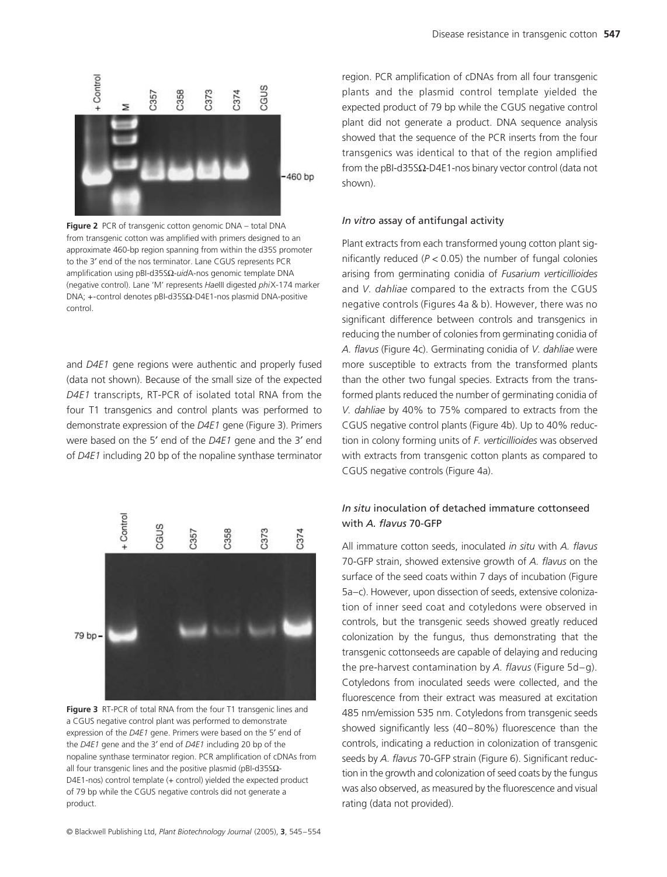

**Figure 2** PCR of transgenic cotton genomic DNA – total DNA from transgenic cotton was amplified with primers designed to an approximate 460-bp region spanning from within the d35S promoter to the 3′ end of the nos terminator. Lane CGUS represents PCR amplification using pBI-d35SΩ-*uid*A-nos genomic template DNA (negative control). Lane 'M' represents *Hae*III digested *phi*X-174 marker DNA; +-control denotes pBI-d35SΩ-D4E1-nos plasmid DNA-positive control.

and *D4E1* gene regions were authentic and properly fused (data not shown). Because of the small size of the expected *D4E1* transcripts, RT-PCR of isolated total RNA from the four T1 transgenics and control plants was performed to demonstrate expression of the *D4E1* gene (Figure 3). Primers were based on the 5′ end of the *D4E1* gene and the 3′ end of *D4E1* including 20 bp of the nopaline synthase terminator



**Figure 3** RT-PCR of total RNA from the four T1 transgenic lines and a CGUS negative control plant was performed to demonstrate expression of the *D4E1* gene. Primers were based on the 5′ end of the *D4E1* gene and the 3′ end of *D4E1* including 20 bp of the nopaline synthase terminator region. PCR amplification of cDNAs from all four transgenic lines and the positive plasmid (pBI-d35SΩ-D4E1-nos) control template (+ control) yielded the expected product of 79 bp while the CGUS negative controls did not generate a product.

region. PCR amplification of cDNAs from all four transgenic plants and the plasmid control template yielded the expected product of 79 bp while the CGUS negative control plant did not generate a product. DNA sequence analysis showed that the sequence of the PCR inserts from the four transgenics was identical to that of the region amplified from the pBI-d35S $\Omega$ -D4E1-nos binary vector control (data not shown).

#### *In vitro* assay of antifungal activity

Plant extracts from each transformed young cotton plant significantly reduced (*P <* 0.05) the number of fungal colonies arising from germinating conidia of *Fusarium verticillioides* and *V. dahliae* compared to the extracts from the CGUS negative controls (Figures 4a & b). However, there was no significant difference between controls and transgenics in reducing the number of colonies from germinating conidia of *A. flavus* (Figure 4c). Germinating conidia of *V. dahliae* were more susceptible to extracts from the transformed plants than the other two fungal species. Extracts from the transformed plants reduced the number of germinating conidia of *V. dahliae* by 40% to 75% compared to extracts from the CGUS negative control plants (Figure 4b). Up to 40% reduction in colony forming units of *F. verticillioides* was observed with extracts from transgenic cotton plants as compared to CGUS negative controls (Figure 4a).

## *In situ* inoculation of detached immature cottonseed with *A. flavus* 70-GFP

All immature cotton seeds, inoculated *in situ* with *A. flavus* 70-GFP strain, showed extensive growth of *A. flavus* on the surface of the seed coats within 7 days of incubation (Figure 5a–c). However, upon dissection of seeds, extensive colonization of inner seed coat and cotyledons were observed in controls, but the transgenic seeds showed greatly reduced colonization by the fungus, thus demonstrating that the transgenic cottonseeds are capable of delaying and reducing the pre-harvest contamination by *A. flavus* (Figure 5d–g). Cotyledons from inoculated seeds were collected, and the fluorescence from their extract was measured at excitation 485 nm/emission 535 nm. Cotyledons from transgenic seeds showed significantly less (40–80%) fluorescence than the controls, indicating a reduction in colonization of transgenic seeds by *A. flavus* 70-GFP strain (Figure 6). Significant reduction in the growth and colonization of seed coats by the fungus was also observed, as measured by the fluorescence and visual rating (data not provided).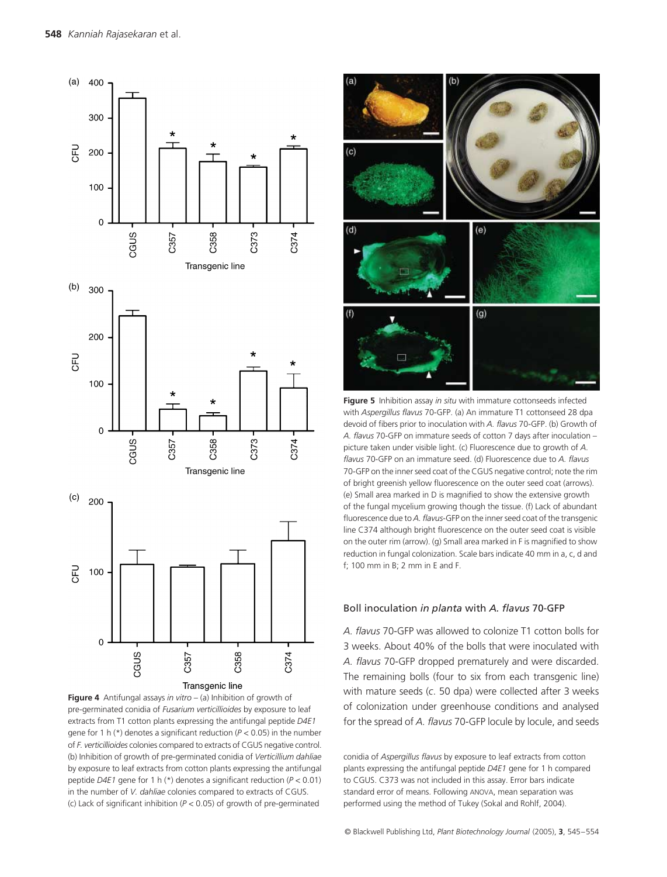

**Figure 4** Antifungal assays *in vitro* – (a) Inhibition of growth of pre-germinated conidia of *Fusarium verticillioides* by exposure to leaf extracts from T1 cotton plants expressing the antifungal peptide *D4E1* gene for 1 h (\*) denotes a significant reduction (*P <* 0.05) in the number of *F. verticillioides* colonies compared to extracts of CGUS negative control. (b) Inhibition of growth of pre-germinated conidia of *Verticillium dahliae* by exposure to leaf extracts from cotton plants expressing the antifungal peptide *D4E1* gene for 1 h (\*) denotes a significant reduction (*P <* 0.01) in the number of *V. dahliae* colonies compared to extracts of CGUS. (c) Lack of significant inhibition (*P <* 0.05) of growth of pre-germinated



**Figure 5** Inhibition assay *in situ* with immature cottonseeds infected with *Aspergillus flavus* 70-GFP. (a) An immature T1 cottonseed 28 dpa devoid of fibers prior to inoculation with *A. flavus* 70-GFP. (b) Growth of *A. flavus* 70-GFP on immature seeds of cotton 7 days after inoculation – picture taken under visible light. (c) Fluorescence due to growth of *A. flavus* 70-GFP on an immature seed. (d) Fluorescence due to *A. flavus* 70-GFP on the inner seed coat of the CGUS negative control; note the rim of bright greenish yellow fluorescence on the outer seed coat (arrows). (e) Small area marked in D is magnified to show the extensive growth of the fungal mycelium growing though the tissue. (f) Lack of abundant fluorescence due to *A. flavus*-GFP on the inner seed coat of the transgenic line C374 although bright fluorescence on the outer seed coat is visible on the outer rim (arrow). (g) Small area marked in F is magnified to show reduction in fungal colonization. Scale bars indicate 40 mm in a, c, d and f; 100 mm in B; 2 mm in E and F.

#### Boll inoculation *in planta* with *A. flavus* 70-GFP

*A. flavus* 70-GFP was allowed to colonize T1 cotton bolls for 3 weeks. About 40% of the bolls that were inoculated with *A. flavus* 70-GFP dropped prematurely and were discarded. The remaining bolls (four to six from each transgenic line) with mature seeds (*c*. 50 dpa) were collected after 3 weeks of colonization under greenhouse conditions and analysed for the spread of *A. flavus* 70-GFP locule by locule, and seeds

conidia of *Aspergillus flavus* by exposure to leaf extracts from cotton plants expressing the antifungal peptide *D4E1* gene for 1 h compared to CGUS. C373 was not included in this assay. Error bars indicate standard error of means. Following ANOVA, mean separation was performed using the method of Tukey (Sokal and Rohlf, 2004).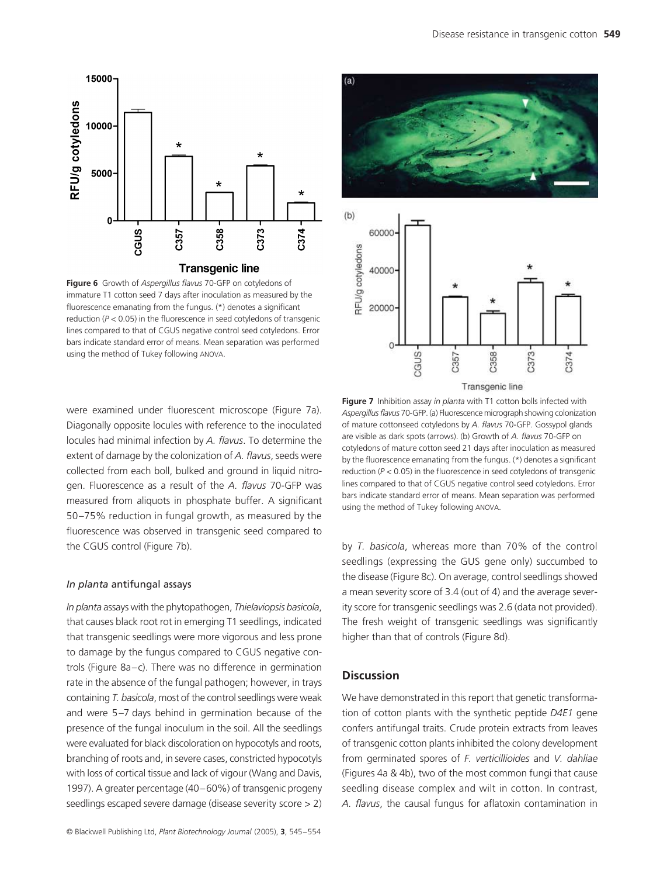

**Figure 6** Growth of *Aspergillus flavus* 70-GFP on cotyledons of immature T1 cotton seed 7 days after inoculation as measured by the fluorescence emanating from the fungus. (\*) denotes a significant reduction (*P <* 0.05) in the fluorescence in seed cotyledons of transgenic lines compared to that of CGUS negative control seed cotyledons. Error bars indicate standard error of means. Mean separation was performed using the method of Tukey following ANOVA.

were examined under fluorescent microscope (Figure 7a). Diagonally opposite locules with reference to the inoculated locules had minimal infection by *A. flavus*. To determine the extent of damage by the colonization of *A. flavus*, seeds were collected from each boll, bulked and ground in liquid nitrogen. Fluorescence as a result of the *A. flavus* 70-GFP was measured from aliquots in phosphate buffer. A significant 50–75% reduction in fungal growth, as measured by the fluorescence was observed in transgenic seed compared to the CGUS control (Figure 7b).

#### *In planta* antifungal assays

*In planta* assays with the phytopathogen, *Thielaviopsis basicola*, that causes black root rot in emerging T1 seedlings, indicated that transgenic seedlings were more vigorous and less prone to damage by the fungus compared to CGUS negative controls (Figure 8a–c). There was no difference in germination rate in the absence of the fungal pathogen; however, in trays containing *T. basicola*, most of the control seedlings were weak and were 5–7 days behind in germination because of the presence of the fungal inoculum in the soil. All the seedlings were evaluated for black discoloration on hypocotyls and roots, branching of roots and, in severe cases, constricted hypocotyls with loss of cortical tissue and lack of vigour (Wang and Davis, 1997). A greater percentage (40–60%) of transgenic progeny seedlings escaped severe damage (disease severity score > 2)





**Figure 7** Inhibition assay *in planta* with T1 cotton bolls infected with *Aspergillus flavus* 70-GFP. (a) Fluorescence micrograph showing colonization of mature cottonseed cotyledons by *A. flavus* 70-GFP. Gossypol glands are visible as dark spots (arrows). (b) Growth of *A. flavus* 70-GFP on cotyledons of mature cotton seed 21 days after inoculation as measured by the fluorescence emanating from the fungus. (\*) denotes a significant reduction (*P <* 0.05) in the fluorescence in seed cotyledons of transgenic lines compared to that of CGUS negative control seed cotyledons. Error bars indicate standard error of means. Mean separation was performed using the method of Tukey following ANOVA.

by *T. basicola*, whereas more than 70% of the control seedlings (expressing the GUS gene only) succumbed to the disease (Figure 8c). On average, control seedlings showed a mean severity score of 3.4 (out of 4) and the average severity score for transgenic seedlings was 2.6 (data not provided). The fresh weight of transgenic seedlings was significantly higher than that of controls (Figure 8d).

#### **Discussion**

We have demonstrated in this report that genetic transformation of cotton plants with the synthetic peptide *D4E1* gene confers antifungal traits. Crude protein extracts from leaves of transgenic cotton plants inhibited the colony development from germinated spores of *F. verticillioides* and *V. dahliae* (Figures 4a & 4b), two of the most common fungi that cause seedling disease complex and wilt in cotton. In contrast, *A. flavus*, the causal fungus for aflatoxin contamination in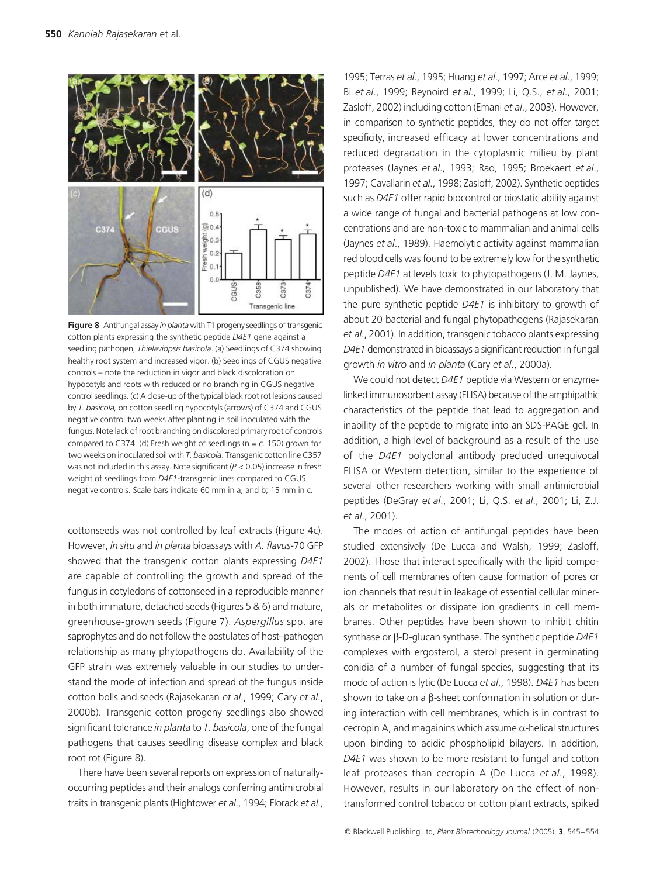

**Figure 8** Antifungal assay *in planta* with T1 progeny seedlings of transgenic cotton plants expressing the synthetic peptide *D4E1* gene against a seedling pathogen, *Thielaviopsis basicola*. (a) Seedlings of C374 showing healthy root system and increased vigor. (b) Seedlings of CGUS negative controls – note the reduction in vigor and black discoloration on hypocotyls and roots with reduced or no branching in CGUS negative control seedlings. (c) A close-up of the typical black root rot lesions caused by *T. basicola,* on cotton seedling hypocotyls (arrows) of C374 and CGUS negative control two weeks after planting in soil inoculated with the fungus. Note lack of root branching on discolored primary root of controls compared to C374. (d) Fresh weight of seedlings (n = *c*. 150) grown for two weeks on inoculated soil with *T. basicola*. Transgenic cotton line C357 was not included in this assay. Note significant (*P <* 0.05) increase in fresh weight of seedlings from *D4E1*-transgenic lines compared to CGUS negative controls. Scale bars indicate 60 mm in a, and b; 15 mm in c.

cottonseeds was not controlled by leaf extracts (Figure 4c). However, *in situ* and *in planta* bioassays with *A. flavus*-70 GFP showed that the transgenic cotton plants expressing *D4E1* are capable of controlling the growth and spread of the fungus in cotyledons of cottonseed in a reproducible manner in both immature, detached seeds (Figures 5 & 6) and mature, greenhouse-grown seeds (Figure 7). *Aspergillus* spp. are saprophytes and do not follow the postulates of host–pathogen relationship as many phytopathogens do. Availability of the GFP strain was extremely valuable in our studies to understand the mode of infection and spread of the fungus inside cotton bolls and seeds (Rajasekaran *et al*., 1999; Cary *et al*., 2000b). Transgenic cotton progeny seedlings also showed significant tolerance *in planta* to *T. basicola*, one of the fungal pathogens that causes seedling disease complex and black root rot (Figure 8).

There have been several reports on expression of naturallyoccurring peptides and their analogs conferring antimicrobial traits in transgenic plants (Hightower *et al*., 1994; Florack *et al*.,

1995; Terras *et al*., 1995; Huang *et al*., 1997; Arce *et al*., 1999; Bi *et al*., 1999; Reynoird *et al*., 1999; Li, Q.S., *et al*., 2001; Zasloff, 2002) including cotton (Emani *et al*., 2003). However, in comparison to synthetic peptides, they do not offer target specificity, increased efficacy at lower concentrations and reduced degradation in the cytoplasmic milieu by plant proteases (Jaynes *et al*., 1993; Rao, 1995; Broekaert *et al*., 1997; Cavallarin *et al*., 1998; Zasloff, 2002). Synthetic peptides such as *D4E1* offer rapid biocontrol or biostatic ability against a wide range of fungal and bacterial pathogens at low concentrations and are non-toxic to mammalian and animal cells (Jaynes *et al*., 1989). Haemolytic activity against mammalian red blood cells was found to be extremely low for the synthetic peptide *D4E1* at levels toxic to phytopathogens (J. M. Jaynes, unpublished). We have demonstrated in our laboratory that the pure synthetic peptide *D4E1* is inhibitory to growth of about 20 bacterial and fungal phytopathogens (Rajasekaran *et al*., 2001). In addition, transgenic tobacco plants expressing *D4E1* demonstrated in bioassays a significant reduction in fungal growth *in vitro* and *in planta* (Cary *et al*., 2000a).

We could not detect *D4E1* peptide via Western or enzymelinked immunosorbent assay (ELISA) because of the amphipathic characteristics of the peptide that lead to aggregation and inability of the peptide to migrate into an SDS-PAGE gel. In addition, a high level of background as a result of the use of the *D4E1* polyclonal antibody precluded unequivocal ELISA or Western detection, similar to the experience of several other researchers working with small antimicrobial peptides (DeGray *et al*., 2001; Li, Q.S. *et al*., 2001; Li, Z.J. *et al*., 2001).

The modes of action of antifungal peptides have been studied extensively (De Lucca and Walsh, 1999; Zasloff, 2002). Those that interact specifically with the lipid components of cell membranes often cause formation of pores or ion channels that result in leakage of essential cellular minerals or metabolites or dissipate ion gradients in cell membranes. Other peptides have been shown to inhibit chitin synthase or β-D-glucan synthase. The synthetic peptide *D4E1* complexes with ergosterol, a sterol present in germinating conidia of a number of fungal species, suggesting that its mode of action is lytic (De Lucca *et al*., 1998). *D4E1* has been shown to take on a β-sheet conformation in solution or during interaction with cell membranes, which is in contrast to cecropin A, and magainins which assume α-helical structures upon binding to acidic phospholipid bilayers. In addition, *D4E1* was shown to be more resistant to fungal and cotton leaf proteases than cecropin A (De Lucca *et al*., 1998). However, results in our laboratory on the effect of nontransformed control tobacco or cotton plant extracts, spiked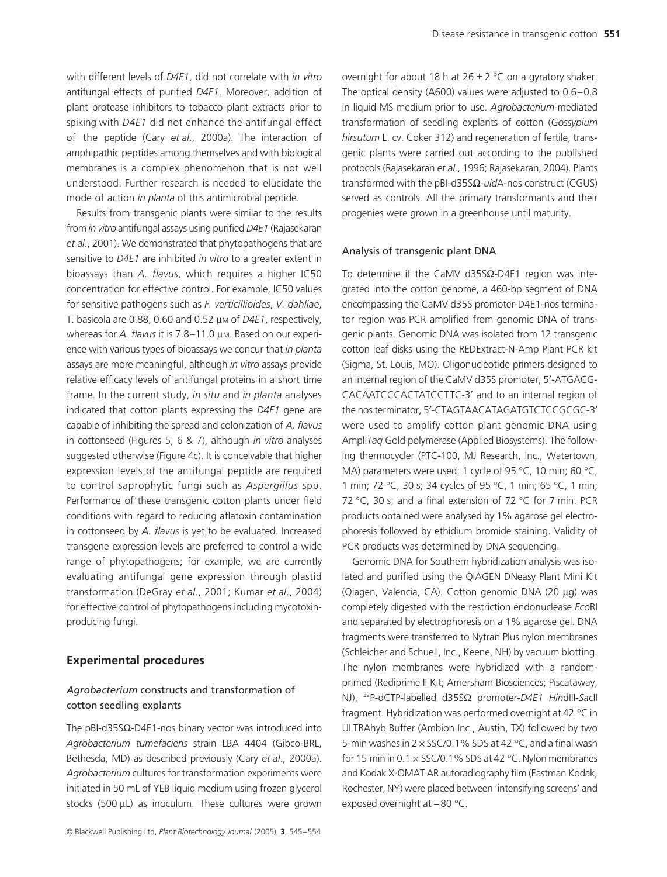with different levels of *D4E1*, did not correlate with *in vitro* antifungal effects of purified *D4E1*. Moreover, addition of plant protease inhibitors to tobacco plant extracts prior to spiking with *D4E1* did not enhance the antifungal effect of the peptide (Cary *et al*., 2000a). The interaction of amphipathic peptides among themselves and with biological membranes is a complex phenomenon that is not well understood. Further research is needed to elucidate the mode of action *in planta* of this antimicrobial peptide.

Results from transgenic plants were similar to the results from *in vitro* antifungal assays using purified *D4E1* (Rajasekaran *et al*., 2001). We demonstrated that phytopathogens that are sensitive to *D4E1* are inhibited *in vitro* to a greater extent in bioassays than *A. flavus*, which requires a higher IC50 concentration for effective control. For example, IC50 values for sensitive pathogens such as *F. verticillioides*, *V. dahliae*, T. basicola are 0.88, 0.60 and 0.52 µ<sup>M</sup> of *D4E1*, respectively, whereas for *A. flavus* it is 7.8–11.0 µm. Based on our experience with various types of bioassays we concur that *in planta* assays are more meaningful, although *in vitro* assays provide relative efficacy levels of antifungal proteins in a short time frame. In the current study, *in situ* and *in planta* analyses indicated that cotton plants expressing the *D4E1* gene are capable of inhibiting the spread and colonization of *A. flavus* in cottonseed (Figures 5, 6 & 7), although *in vitro* analyses suggested otherwise (Figure 4c). It is conceivable that higher expression levels of the antifungal peptide are required to control saprophytic fungi such as *Aspergillus* spp. Performance of these transgenic cotton plants under field conditions with regard to reducing aflatoxin contamination in cottonseed by *A. flavus* is yet to be evaluated. Increased transgene expression levels are preferred to control a wide range of phytopathogens; for example, we are currently evaluating antifungal gene expression through plastid transformation (DeGray *et al*., 2001; Kumar *et al*., 2004) for effective control of phytopathogens including mycotoxinproducing fungi.

#### **Experimental procedures**

## *Agrobacterium* constructs and transformation of cotton seedling explants

The pBI-d35SΩ-D4E1-nos binary vector was introduced into *Agrobacterium tumefaciens* strain LBA 4404 (Gibco-BRL, Bethesda, MD) as described previously (Cary *et al*., 2000a). *Agrobacterium* cultures for transformation experiments were initiated in 50 mL of YEB liquid medium using frozen glycerol stocks (500 µL) as inoculum. These cultures were grown

overnight for about 18 h at  $26 \pm 2$  °C on a gyratory shaker. The optical density (A600) values were adjusted to 0.6–0.8 in liquid MS medium prior to use. *Agrobacterium*-mediated transformation of seedling explants of cotton (*Gossypium hirsutum* L. cv. Coker 312) and regeneration of fertile, transgenic plants were carried out according to the published protocols (Rajasekaran *et al*., 1996; Rajasekaran, 2004). Plants transformed with the pBI-d35SΩ-*uid*A-nos construct (CGUS) served as controls. All the primary transformants and their progenies were grown in a greenhouse until maturity.

#### Analysis of transgenic plant DNA

To determine if the CaMV d35SΩ-D4E1 region was integrated into the cotton genome, a 460-bp segment of DNA encompassing the CaMV d35S promoter-D4E1-nos terminator region was PCR amplified from genomic DNA of transgenic plants. Genomic DNA was isolated from 12 transgenic cotton leaf disks using the REDExtract-N-Amp Plant PCR kit (Sigma, St. Louis, MO). Oligonucleotide primers designed to an internal region of the CaMV d35S promoter, 5′-ATGACG-CACAATCCCACTATCCTTC-3′ and to an internal region of the nos terminator, 5′-CTAGTAACATAGATGTCTCCGCGC-3′ were used to amplify cotton plant genomic DNA using Ampli*Taq* Gold polymerase (Applied Biosystems). The following thermocycler (PTC-100, MJ Research, Inc., Watertown, MA) parameters were used: 1 cycle of 95 °C, 10 min; 60 °C, 1 min; 72 °C, 30 s; 34 cycles of 95 °C, 1 min; 65 °C, 1 min; 72 °C, 30 s; and a final extension of 72 °C for 7 min. PCR products obtained were analysed by 1% agarose gel electrophoresis followed by ethidium bromide staining. Validity of PCR products was determined by DNA sequencing.

Genomic DNA for Southern hybridization analysis was isolated and purified using the QIAGEN DNeasy Plant Mini Kit (Qiagen, Valencia, CA). Cotton genomic DNA (20 µg) was completely digested with the restriction endonuclease *Eco*RI and separated by electrophoresis on a 1% agarose gel. DNA fragments were transferred to Nytran Plus nylon membranes (Schleicher and Schuell, Inc., Keene, NH) by vacuum blotting. The nylon membranes were hybridized with a randomprimed (Rediprime II Kit; Amersham Biosciences; Piscataway, NJ), 32P-dCTP-labelled d35SΩ promoter-*D4E1 Hin*dIII*-Sac*II fragment. Hybridization was performed overnight at 42 °C in ULTRAhyb Buffer (Ambion Inc., Austin, TX) followed by two 5-min washes in  $2 \times$  SSC/0.1% SDS at 42 °C, and a final wash for 15 min in 0.1  $\times$  SSC/0.1% SDS at 42 °C. Nylon membranes and Kodak X-OMAT AR autoradiography film (Eastman Kodak, Rochester, NY) were placed between 'intensifying screens' and exposed overnight at −80 °C.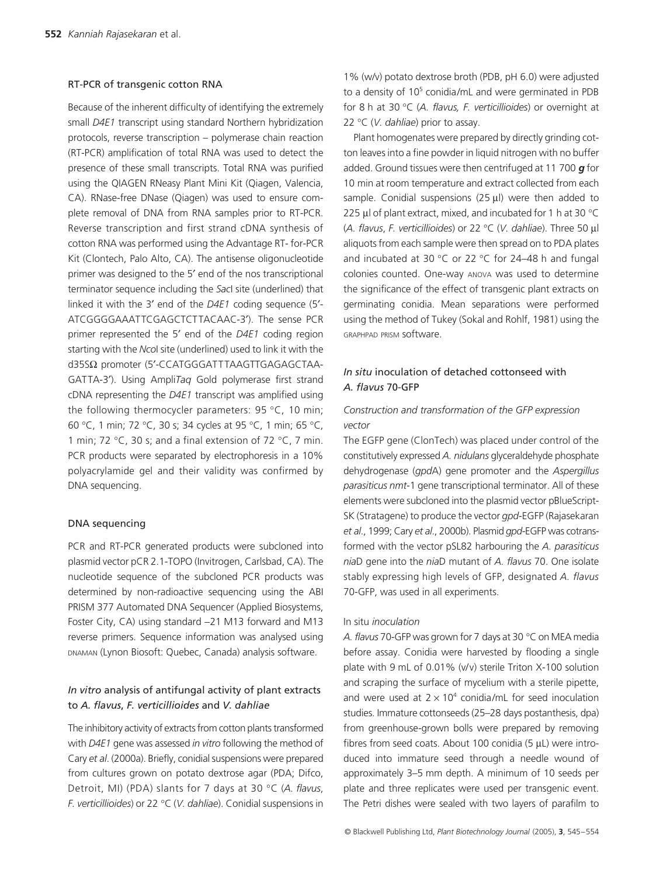#### RT-PCR of transgenic cotton RNA

Because of the inherent difficulty of identifying the extremely small *D4E1* transcript using standard Northern hybridization protocols, reverse transcription – polymerase chain reaction (RT-PCR) amplification of total RNA was used to detect the presence of these small transcripts. Total RNA was purified using the QIAGEN RNeasy Plant Mini Kit (Qiagen, Valencia, CA). RNase-free DNase (Qiagen) was used to ensure complete removal of DNA from RNA samples prior to RT-PCR. Reverse transcription and first strand cDNA synthesis of cotton RNA was performed using the Advantage RT- for-PCR Kit (Clontech, Palo Alto, CA). The antisense oligonucleotide primer was designed to the 5′ end of the nos transcriptional terminator sequence including the *Sac*I site (underlined) that linked it with the 3′ end of the *D4E1* coding sequence (5′- ATCGGGGAAATTCGAGCTCTTACAAC-3′). The sense PCR primer represented the 5′ end of the *D4E1* coding region starting with the *Nco*I site (underlined) used to link it with the d35SΩ promoter (5′-CCATGGGATTTAAGTTGAGAGCTAA-GATTA-3′). Using Ampli*Taq* Gold polymerase first strand cDNA representing the *D4E1* transcript was amplified using the following thermocycler parameters: 95 °C, 10 min; 60 °C, 1 min; 72 °C, 30 s; 34 cycles at 95 °C, 1 min; 65 °C, 1 min; 72 °C, 30 s; and a final extension of 72 °C, 7 min. PCR products were separated by electrophoresis in a 10% polyacrylamide gel and their validity was confirmed by DNA sequencing.

#### DNA sequencing

PCR and RT-PCR generated products were subcloned into plasmid vector pCR 2.1-TOPO (Invitrogen, Carlsbad, CA). The nucleotide sequence of the subcloned PCR products was determined by non-radioactive sequencing using the ABI PRISM 377 Automated DNA Sequencer (Applied Biosystems, Foster City, CA) using standard −21 M13 forward and M13 reverse primers. Sequence information was analysed using DNAMAN (Lynon Biosoft: Quebec, Canada) analysis software.

## *In vitro* analysis of antifungal activity of plant extracts to *A. flavus*, *F. verticillioides* and *V. dahliae*

The inhibitory activity of extracts from cotton plants transformed with *D4E1* gene was assessed *in vitro* following the method of Cary *et al*. (2000a). Briefly, conidial suspensions were prepared from cultures grown on potato dextrose agar (PDA; Difco, Detroit, MI) (PDA) slants for 7 days at 30 °C (*A. flavus*, *F. verticillioides*) or 22 °C (*V. dahliae*). Conidial suspensions in

1% (w/v) potato dextrose broth (PDB, pH 6.0) were adjusted to a density of 10<sup>5</sup> conidia/mL and were germinated in PDB for 8 h at 30 °C (*A. flavus, F. verticillioides*) or overnight at 22 °C (*V. dahliae*) prior to assay.

Plant homogenates were prepared by directly grinding cotton leaves into a fine powder in liquid nitrogen with no buffer added. Ground tissues were then centrifuged at 11 700 *g* for 10 min at room temperature and extract collected from each sample. Conidial suspensions  $(25 \mu l)$  were then added to 225 µl of plant extract, mixed, and incubated for 1 h at 30 °C (*A. flavus*, *F. verticillioides*) or 22 °C (*V. dahliae*). Three 50 µl aliquots from each sample were then spread on to PDA plates and incubated at 30 °C or 22 °C for 24–48 h and fungal colonies counted. One-way ANOVA was used to determine the significance of the effect of transgenic plant extracts on germinating conidia. Mean separations were performed using the method of Tukey (Sokal and Rohlf, 1981) using the GRAPHPAD PRISM software.

## *In situ* inoculation of detached cottonseed with *A. flavus* 70-GFP

## *Construction and transformation of the GFP expression vector*

The EGFP gene (ClonTech) was placed under control of the constitutively expressed *A. nidulans* glyceraldehyde phosphate dehydrogenase (*gpd*A) gene promoter and the *Aspergillus parasiticus nmt*-1 gene transcriptional terminator. All of these elements were subcloned into the plasmid vector pBlueScript-SK (Stratagene) to produce the vector *gpd*-EGFP (Rajasekaran *et al*., 1999; Cary *et al*., 2000b). Plasmid *gpd*-EGFP was cotransformed with the vector pSL82 harbouring the *A. parasiticus nia*D gene into the *nia*D mutant of *A. flavus* 70. One isolate stably expressing high levels of GFP, designated *A. flavus* 70-GFP, was used in all experiments.

#### In situ *inoculation*

*A. flavus* 70-GFP was grown for 7 days at 30 °C on MEA media before assay. Conidia were harvested by flooding a single plate with 9 mL of 0.01% (v/v) sterile Triton X-100 solution and scraping the surface of mycelium with a sterile pipette, and were used at  $2 \times 10^4$  conidia/mL for seed inoculation studies. Immature cottonseeds (25–28 days postanthesis, dpa) from greenhouse-grown bolls were prepared by removing fibres from seed coats. About 100 conidia (5 µL) were introduced into immature seed through a needle wound of approximately 3–5 mm depth. A minimum of 10 seeds per plate and three replicates were used per transgenic event. The Petri dishes were sealed with two layers of parafilm to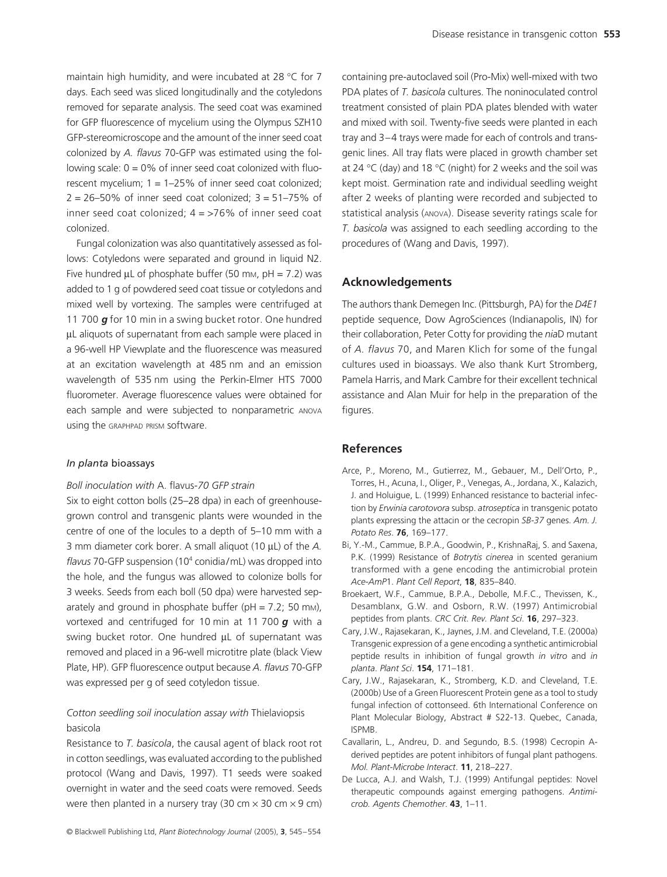maintain high humidity, and were incubated at 28 °C for 7 days. Each seed was sliced longitudinally and the cotyledons removed for separate analysis. The seed coat was examined for GFP fluorescence of mycelium using the Olympus SZH10 GFP-stereomicroscope and the amount of the inner seed coat colonized by *A. flavus* 70-GFP was estimated using the following scale:  $0 = 0\%$  of inner seed coat colonized with fluorescent mycelium; 1 = 1–25% of inner seed coat colonized;  $2 = 26 - 50\%$  of inner seed coat colonized;  $3 = 51 - 75\%$  of inner seed coat colonized;  $4 = 576\%$  of inner seed coat colonized.

Fungal colonization was also quantitatively assessed as follows: Cotyledons were separated and ground in liquid N2. Five hundred  $\mu$ L of phosphate buffer (50 mm, pH = 7.2) was added to 1 g of powdered seed coat tissue or cotyledons and mixed well by vortexing. The samples were centrifuged at 11 700 *g* for 10 min in a swing bucket rotor. One hundred µL aliquots of supernatant from each sample were placed in a 96-well HP Viewplate and the fluorescence was measured at an excitation wavelength at 485 nm and an emission wavelength of 535 nm using the Perkin-Elmer HTS 7000 fluorometer. Average fluorescence values were obtained for each sample and were subjected to nonparametric ANOVA using the GRAPHPAD PRISM software.

#### *In planta* bioassays

#### *Boll inoculation with* A. flavus*-70 GFP strain*

Six to eight cotton bolls (25–28 dpa) in each of greenhousegrown control and transgenic plants were wounded in the centre of one of the locules to a depth of 5–10 mm with a 3 mm diameter cork borer. A small aliquot (10 µL) of the *A. flavus* 70-GFP suspension (104 conidia/mL) was dropped into the hole, and the fungus was allowed to colonize bolls for 3 weeks. Seeds from each boll (50 dpa) were harvested separately and ground in phosphate buffer ( $pH = 7.2$ ; 50 mm), vortexed and centrifuged for 10 min at 11 700 *g* with a swing bucket rotor. One hundred µL of supernatant was removed and placed in a 96-well microtitre plate (black View Plate, HP). GFP fluorescence output because *A. flavus* 70-GFP was expressed per g of seed cotyledon tissue.

## *Cotton seedling soil inoculation assay with* Thielaviopsis basicola

Resistance to *T. basicola*, the causal agent of black root rot in cotton seedlings, was evaluated according to the published protocol (Wang and Davis, 1997). T1 seeds were soaked overnight in water and the seed coats were removed. Seeds were then planted in a nursery tray (30 cm  $\times$  30 cm  $\times$  9 cm) containing pre-autoclaved soil (Pro-Mix) well-mixed with two PDA plates of *T. basicola* cultures. The noninoculated control treatment consisted of plain PDA plates blended with water and mixed with soil. Twenty-five seeds were planted in each tray and 3–4 trays were made for each of controls and transgenic lines. All tray flats were placed in growth chamber set at 24 °C (day) and 18 °C (night) for 2 weeks and the soil was kept moist. Germination rate and individual seedling weight after 2 weeks of planting were recorded and subjected to statistical analysis (ANOVA). Disease severity ratings scale for *T. basicola* was assigned to each seedling according to the procedures of (Wang and Davis, 1997).

#### **Acknowledgements**

The authors thank Demegen Inc. (Pittsburgh, PA) for the *D4E1* peptide sequence, Dow AgroSciences (Indianapolis, IN) for their collaboration, Peter Cotty for providing the *nia*D mutant of *A. flavus* 70, and Maren Klich for some of the fungal cultures used in bioassays. We also thank Kurt Stromberg, Pamela Harris, and Mark Cambre for their excellent technical assistance and Alan Muir for help in the preparation of the figures.

#### **References**

- Arce, P., Moreno, M., Gutierrez, M., Gebauer, M., Dell'Orto, P., Torres, H., Acuna, I., Oliger, P., Venegas, A., Jordana, X., Kalazich, J. and Holuigue, L. (1999) Enhanced resistance to bacterial infection by *Erwinia carotovora* subsp. *atroseptica* in transgenic potato plants expressing the attacin or the cecropin *SB-37* genes. *Am. J. Potato Res*. **76**, 169–177.
- Bi, Y.-M., Cammue, B.P.A., Goodwin, P., KrishnaRaj, S. and Saxena, P.K. (1999) Resistance of *Botrytis cinerea* in scented geranium transformed with a gene encoding the antimicrobial protein *Ace-AmP*1. *Plant Cell Report*, **18**, 835–840.
- Broekaert, W.F., Cammue, B.P.A., Debolle, M.F.C., Thevissen, K., Desamblanx, G.W. and Osborn, R.W. (1997) Antimicrobial peptides from plants. *CRC Crit. Rev. Plant Sci*. **16**, 297–323.
- Cary, J.W., Rajasekaran, K., Jaynes, J.M. and Cleveland, T.E. (2000a) Transgenic expression of a gene encoding a synthetic antimicrobial peptide results in inhibition of fungal growth *in vitro* and *in planta*. *Plant Sci*. **154**, 171–181.
- Cary, J.W., Rajasekaran, K., Stromberg, K.D. and Cleveland, T.E. (2000b) Use of a Green Fluorescent Protein gene as a tool to study fungal infection of cottonseed. 6th International Conference on Plant Molecular Biology, Abstract # S22-13. Quebec, Canada, ISPMB.
- Cavallarin, L., Andreu, D. and Segundo, B.S. (1998) Cecropin Aderived peptides are potent inhibitors of fungal plant pathogens. *Mol. Plant-Microbe Interact*. **11**, 218–227.
- De Lucca, A.J. and Walsh, T.J. (1999) Antifungal peptides: Novel therapeutic compounds against emerging pathogens. *Antimicrob. Agents Chemother*. **43**, 1–11.